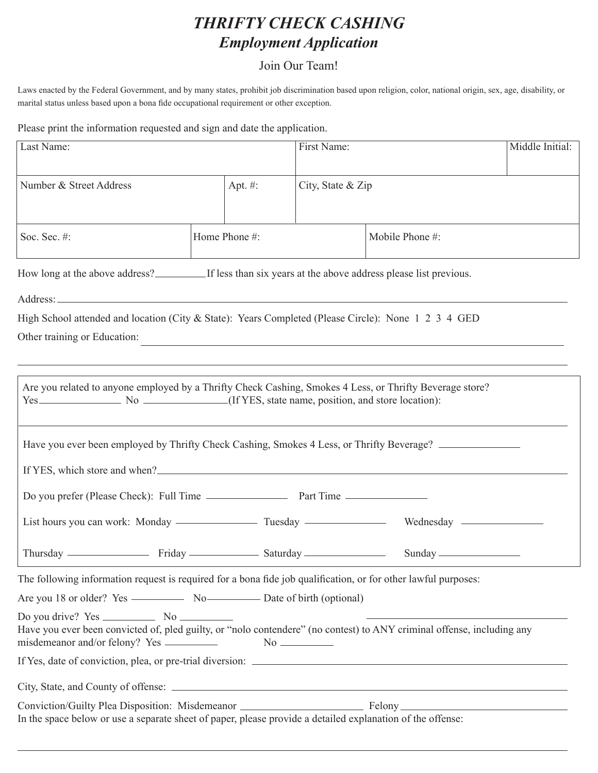## *THRIFTY CHECK CASHING Employment Application*

## Join Our Team!

Laws enacted by the Federal Government, and by many states, prohibit job discrimination based upon religion, color, national origin, sex, age, disability, or marital status unless based upon a bona fide occupational requirement or other exception.

Please print the information requested and sign and date the application.

| Last Name:                                                                                                                                                                                                                     |               |            | First Name:       |                                                                                   | Middle Initial: |  |  |  |
|--------------------------------------------------------------------------------------------------------------------------------------------------------------------------------------------------------------------------------|---------------|------------|-------------------|-----------------------------------------------------------------------------------|-----------------|--|--|--|
|                                                                                                                                                                                                                                |               |            |                   |                                                                                   |                 |  |  |  |
| Number & Street Address                                                                                                                                                                                                        |               | Apt. $#$ : | City, State & Zip |                                                                                   |                 |  |  |  |
|                                                                                                                                                                                                                                |               |            |                   |                                                                                   |                 |  |  |  |
| Soc. Sec. #:                                                                                                                                                                                                                   | Home Phone #: |            |                   | Mobile Phone #:                                                                   |                 |  |  |  |
| How long at the above address?<br>If less than six years at the above address please list previous.                                                                                                                            |               |            |                   |                                                                                   |                 |  |  |  |
|                                                                                                                                                                                                                                |               |            |                   |                                                                                   |                 |  |  |  |
| High School attended and location (City & State): Years Completed (Please Circle): None 1 2 3 4 GED                                                                                                                            |               |            |                   |                                                                                   |                 |  |  |  |
| Other training or Education:                                                                                                                                                                                                   |               |            |                   |                                                                                   |                 |  |  |  |
|                                                                                                                                                                                                                                |               |            |                   | ,我们也不能在这里的时候,我们也不能在这里的时候,我们也不能会在这里的时候,我们也不能会在这里的时候,我们也不能会在这里的时候,我们也不能会在这里的时候,我们也不 |                 |  |  |  |
| Are you related to anyone employed by a Thrifty Check Cashing, Smokes 4 Less, or Thrifty Beverage store?                                                                                                                       |               |            |                   |                                                                                   |                 |  |  |  |
|                                                                                                                                                                                                                                |               |            |                   |                                                                                   |                 |  |  |  |
| Have you ever been employed by Thrifty Check Cashing, Smokes 4 Less, or Thrifty Beverage?                                                                                                                                      |               |            |                   |                                                                                   |                 |  |  |  |
| If YES, which store and when?<br><u>If</u> YES, which store and when?                                                                                                                                                          |               |            |                   |                                                                                   |                 |  |  |  |
|                                                                                                                                                                                                                                |               |            |                   |                                                                                   |                 |  |  |  |
|                                                                                                                                                                                                                                |               |            |                   |                                                                                   |                 |  |  |  |
| Thursday — Friday — Friday Saturday — Saturday Sunday — Sunday — Sunday — Sunday — Sunday — Sunday — Sunday — Sunday — Sunday — Sunday — Sunday — Sunday — Sunday — Sunday — Sunday — Sunday — Sunday — Sunday — Sunday — Sund |               |            |                   |                                                                                   |                 |  |  |  |
| The following information request is required for a bona fide job qualification, or for other lawful purposes:                                                                                                                 |               |            |                   |                                                                                   |                 |  |  |  |
|                                                                                                                                                                                                                                |               |            |                   |                                                                                   |                 |  |  |  |
| Have you ever been convicted of, pled guilty, or "nolo contendere" (no contest) to ANY criminal offense, including any                                                                                                         |               |            |                   |                                                                                   |                 |  |  |  |
|                                                                                                                                                                                                                                |               |            |                   |                                                                                   |                 |  |  |  |
|                                                                                                                                                                                                                                |               |            |                   |                                                                                   |                 |  |  |  |
| Conviction/Guilty Plea Disposition: Misdemeanor _________________________________ Felony _____________________                                                                                                                 |               |            |                   |                                                                                   |                 |  |  |  |
| In the space below or use a separate sheet of paper, please provide a detailed explanation of the offense:                                                                                                                     |               |            |                   |                                                                                   |                 |  |  |  |